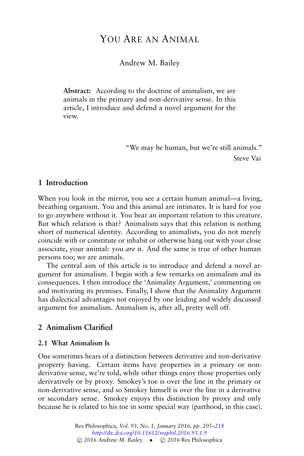# YOU ARE AN ANIMAL

Andrew M. Bailey

**Abstract:** According to the doctrine of animalism, we are animals in the primary and non-derivative sense. In this article, I introduce and defend a novel argument for the view.

> "We may be human, but we're still animals." Steve Vai

## **1 Introduction**

When you look in the mirror, you see a certain human animal—a living, breathing organism. You and this animal are intimates. It is hard for you to go anywhere without it. You bear an important relation to this creature. But which relation is that? Animalism says that this relation is nothing short of numerical identity. According to animalists, you do not merely coincide with or constitute or inhabit or otherwise hang out with your close associate, your animal: you *are* it. And the same is true of other human persons too; we are animals.

The central aim of this article is to introduce and defend a novel argument for animalism. I begin with a few remarks on animalism and its consequences. I then introduce the 'Animality Argument,' commenting on and motivating its premises. Finally, I show that the Animality Argument has dialectical advantages not enjoyed by one leading and widely discussed argument for animalism. Animalism is, after all, pretty well off.

### **2 Animalism Clarified**

#### **2.1 What Animalism Is**

One sometimes hears of a distinction between derivative and non-derivative property having. Certain items have properties in a primary or nonderivative sense, we're told, while other things enjoy those properties only derivatively or by proxy. Smokey's toe is over the line in the primary or non-derivative sense, and so Smokey himself is over the line in a derivative or secondary sense. Smokey enjoys this distinction by proxy and only because he is related to his toe in some special way (parthood, in this case).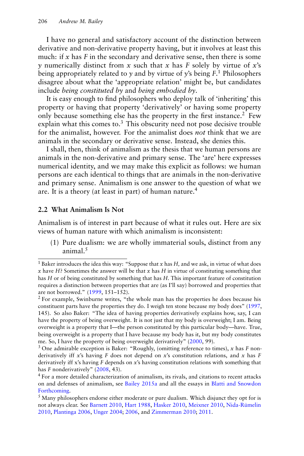I have no general and satisfactory account of the distinction between derivative and non-derivative property having, but it involves at least this much: if *x* has *F* in the secondary and derivative sense, then there is some *y* numerically distinct from *x* such that *x* has *F* solely by virtue of *x*'s being appropriately related to *y* and by virtue of *y*'s being *F*. <sup>1</sup> Philosophers disagree about what the 'appropriate relation' might be, but candidates include *being constituted by* and *being embodied by*.

It is easy enough to find philosophers who deploy talk of 'inheriting' this property or having that property 'derivatively' or having some property only because something else has the property in the first instance.<sup>2</sup> Few explain what this comes to. $3$  This obscurity need not pose decisive trouble for the animalist, however. For the animalist does *not* think that we are animals in the secondary or derivative sense. Instead, she denies this.

I shall, then, think of animalism as the thesis that we human persons are animals in the non-derivative and primary sense. The 'are' here expresses numerical identity, and we may make this explicit as follows: we human persons are each identical to things that are animals in the non-derivative and primary sense. Animalism is one answer to the question of what we are. It is a theory (at least in part) of human nature.<sup>4</sup>

#### **2.2 What Animalism Is Not**

Animalism is of interest in part because of what it rules out. Here are six views of human nature with which animalism is inconsistent:

(1) Pure dualism: we are wholly immaterial souls, distinct from any animal. $5$ 

<sup>&</sup>lt;sup>1</sup> Baker introduces the idea this way: "Suppose that  $x$  has  $H$ , and we ask, in virtue of what does *x* have *H*? Sometimes the answer will be that *x* has *H* in virtue of constituting something that has *H* or of being constituted by something that has *H*. This important feature of constitution requires a distinction between properties that are (as I'll say) borrowed and properties that are not borrowed." [\(1999,](#page-11-0) 151–152).

<sup>&</sup>lt;sup>2</sup> For example, Swinburne writes, "the whole man has the properties he does because his constituent parts have the properties they do. I weigh ten stone because my body does" [\(1997,](#page-13-1) 145). So also Baker: "The idea of having properties derivatively explains how, say, I can have the property of being overweight. It is not just that my body is overweight; I am. Being overweight is a property that I—the person constituted by this particular body—have. True, being overweight is a property that I have because my body has it, but my body constitutes me. So, I have the property of being overweight derivatively" [\(2000,](#page-11-1) 99).

<sup>3</sup> One admirable exception is Baker: "Roughly, (omitting reference to times), *x* has *F* nonderivatively iff *x*'s having *F* does not depend on *x*'s constitution relations, and *x* has *F* derivatively iff x's having *F* depends on *x*'s having constitution relations with something that has *F* nonderivatively" [\(2008,](#page-11-2) 43).

<sup>&</sup>lt;sup>4</sup> For a more detailed characterization of animalism, its rivals, and citations to recent attacks on and defenses of animalism, see [Bailey](#page-11-3) [2015a](#page-11-3) and all the essays in [Blatti and Snowdon](#page-11-4) [Forthcoming.](#page-11-4)

 $<sup>5</sup>$  Many philosophers endorse either moderate or pure dualism. Which disjunct they opt for is</sup> not always clear. See [Barnett](#page-11-5) [2010,](#page-11-5) [Hart](#page-11-6) [1988,](#page-11-6) [Hasker](#page-12-0) [2010,](#page-12-0) [Meixner](#page-12-1) [2010,](#page-12-1) [Nida-Rümelin](#page-12-2) [2010,](#page-12-2) [Plantinga](#page-12-3) [2006,](#page-12-3) [Unger](#page-13-2) [2004;](#page-13-2) [2006,](#page-13-3) and [Zimmerman](#page-13-4) [2010;](#page-13-4) [2011.](#page-13-5)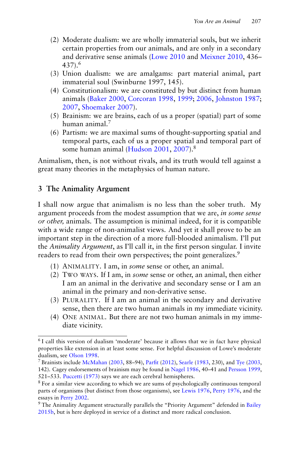- (2) Moderate dualism: we are wholly immaterial souls, but we inherit certain properties from our animals, and are only in a secondary and derivative sense animals [\(Lowe](#page-12-4) [2010](#page-12-4) and [Meixner](#page-12-1) [2010,](#page-12-1) 436–  $437$ ).<sup>6</sup>
- (3) Union dualism: we are amalgams: part material animal, part immaterial soul (Swinburne 1997, 145).
- (4) Constitutionalism: we are constituted by but distinct from human animals [\(Baker](#page-11-1) [2000,](#page-11-1) [Corcoran](#page-11-7) [1998,](#page-11-7) [1999;](#page-11-8) [2006,](#page-11-9) [Johnston](#page-12-5) [1987;](#page-12-5) [2007,](#page-12-6) [Shoemaker](#page-12-7) [2007\)](#page-12-7).
- (5) Brainism: we are brains, each of us a proper (spatial) part of some human animal.<sup>7</sup>
- (6) Partism: we are maximal sums of thought-supporting spatial and temporal parts, each of us a proper spatial and temporal part of some human animal [\(Hudson](#page-12-8) [2001,](#page-12-8) [2007\)](#page-12-9).<sup>8</sup>

Animalism, then, is not without rivals, and its truth would tell against a great many theories in the metaphysics of human nature.

# **3 The Animality Argument**

I shall now argue that animalism is no less than the sober truth. My argument proceeds from the modest assumption that we are, *in some sense or other,* animals. The assumption is minimal indeed, for it is compatible with a wide range of non-animalist views. And yet it shall prove to be an important step in the direction of a more full-blooded animalism. I'll put the *Animality Argument*, as I'll call it, in the first person singular. I invite readers to read from their own perspectives; the point generalizes.<sup>9</sup>

- (1) ANIMALITY. I am, in *some* sense or other, an animal.
- (2) TWO WAYS. If I am, in *some* sense or other, an animal, then either I am an animal in the derivative and secondary sense or I am an animal in the primary and non-derivative sense.
- (3) PLURALITY. If I am an animal in the secondary and derivative sense, then there are two human animals in my immediate vicinity.
- (4) ONE ANIMAL. But there are not two human animals in my immediate vicinity.

<sup>&</sup>lt;sup>6</sup> I call this version of dualism 'moderate' because it allows that we in fact have physical properties like extension in at least some sense. For helpful discussion of Lowe's moderate dualism, see [Olson](#page-12-10) [1998.](#page-12-10)

<sup>&</sup>lt;sup>7</sup> Brainists include [McMahan](#page-12-11) [\(2003,](#page-13-6) 88–94), [Parfit](#page-12-12) [\(2012\)](#page-12-12), [Searle](#page-12-13) [\(1983,](#page-12-13) 230), and [Tye](#page-13-6) (2003, 142). Cagey endorsements of brainism may be found in [Nagel](#page-12-14) [1986,](#page-12-14) 40–41 and [Persson](#page-12-15) [1999,](#page-12-15) 521–533. [Puccetti](#page-12-16) [\(1973\)](#page-12-16) says we are each cerebral hemispheres.

<sup>&</sup>lt;sup>8</sup> For a similar view according to which we are sums of psychologically continuous temporal parts of organisms (but distinct from those organisms), see [Lewis](#page-12-17) [1976,](#page-12-17) [Perry](#page-12-18) [1976,](#page-12-18) and the essays in [Perry](#page-12-19) [2002.](#page-12-19)

<sup>&</sup>lt;sup>9</sup> The Animality Argument structurally parallels the "Priority Argument" defended in [Bailey](#page-11-10) [2015b,](#page-11-10) but is here deployed in service of a distinct and more radical conclusion.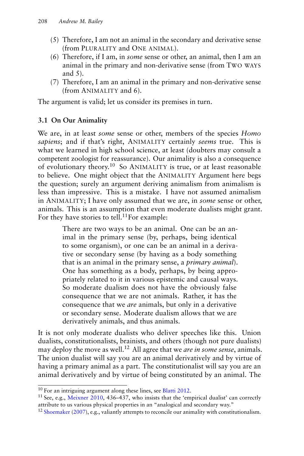- (5) Therefore, I am not an animal in the secondary and derivative sense (from PLURALITY and ONE ANIMAL).
- (6) Therefore, if I am, in *some* sense or other, an animal, then I am an animal in the primary and non-derivative sense (from TWO WAYS and 5).
- (7) Therefore, I am an animal in the primary and non-derivative sense (from ANIMALITY and 6).

The argument is valid; let us consider its premises in turn.

### **3.1 On Our Animality**

We are, in at least *some* sense or other, members of the species *Homo sapiens*; and if that's right, ANIMALITY certainly *seems* true. This is what we learned in high school science, at least (doubters may consult a competent zoologist for reassurance). Our animality is also a consequence of evolutionary theory.<sup>10</sup> So ANIMALITY is true, or at least reasonable to believe. One might object that the ANIMALITY Argument here begs the question; surely an argument deriving animalism from animalism is less than impressive. This is a mistake. I have not assumed animalism in ANIMALITY; I have only assumed that we are, in *some* sense or other, animals. This is an assumption that even moderate dualists might grant. For they have stories to tell.<sup>11</sup>For example:

> There are two ways to be an animal. One can be an animal in the primary sense (by, perhaps, being identical to some organism), or one can be an animal in a derivative or secondary sense (by having as a body something that is an animal in the primary sense, a *primary animal*). One has something as a body, perhaps, by being appropriately related to it in various epistemic and causal ways. So moderate dualism does not have the obviously false consequence that we are not animals. Rather, it has the consequence that we *are* animals, but only in a derivative or secondary sense. Moderate dualism allows that we are derivatively animals, and thus animals.

It is not only moderate dualists who deliver speeches like this. Union dualists, constitutionalists, brainists, and others (though not pure dualists) may deploy the move as well.<sup>12</sup> All agree that we *are in some sense*, animals. The union dualist will say you are an animal derivatively and by virtue of having a primary animal as a part. The constitutionalist will say you are an animal derivatively and by virtue of being constituted by an animal. The

<sup>&</sup>lt;sup>10</sup> For an intriguing argument along these lines, see [Blatti](#page-11-11) [2012.](#page-11-11)

<sup>&</sup>lt;sup>11</sup> See, e.g., [Meixner](#page-12-1) [2010,](#page-12-1) 436–437, who insists that the 'empirical dualist' can correctly attribute to us various physical properties in an "analogical and secondary way."

<sup>&</sup>lt;sup>12</sup> [Shoemaker](#page-12-7) [\(2007\)](#page-12-7), e.g., valiantly attempts to reconcile our animality with constitutionalism.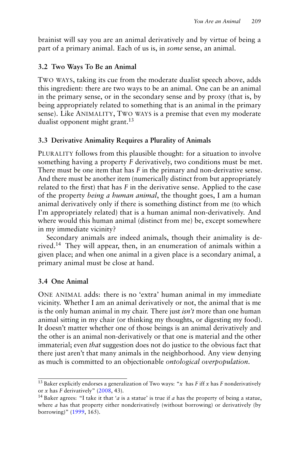brainist will say you are an animal derivatively and by virtue of being a part of a primary animal. Each of us is, in *some* sense, an animal.

#### **3.2 Two Ways To Be an Animal**

TWO WAYS, taking its cue from the moderate dualist speech above, adds this ingredient: there are two ways to be an animal. One can be an animal in the primary sense, or in the secondary sense and by proxy (that is, by being appropriately related to something that is an animal in the primary sense). Like ANIMALITY, TWO WAYS is a premise that even my moderate dualist opponent might grant.<sup>13</sup>

#### **3.3 Derivative Animality Requires a Plurality of Animals**

PLURALITY follows from this plausible thought: for a situation to involve something having a property *F* derivatively, two conditions must be met. There must be one item that has *F* in the primary and non-derivative sense. And there must be another item (numerically distinct from but appropriately related to the first) that has *F* in the derivative sense. Applied to the case of the property *being a human animal*, the thought goes, I am a human animal derivatively only if there is something distinct from me (to which I'm appropriately related) that is a human animal non-derivatively. And where would this human animal (distinct from me) be, except somewhere in my immediate vicinity?

Secondary animals are indeed animals, though their animality is derived.<sup>14</sup> They will appear, then, in an enumeration of animals within a given place; and when one animal in a given place is a secondary animal, a primary animal must be close at hand.

#### **3.4 One Animal**

ONE ANIMAL adds: there is no 'extra' human animal in my immediate vicinity. Whether I am an animal derivatively or not, the animal that is me is the only human animal in my chair. There just *isn't* more than one human animal sitting in my chair (or thinking my thoughts, or digesting my food). It doesn't matter whether one of those beings is an animal derivatively and the other is an animal non-derivatively or that one is material and the other immaterial; even *that* suggestion does not do justice to the obvious fact that there just aren't that many animals in the neighborhood. Any view denying as much is committed to an objectionable *ontological overpopulation*.

<sup>13</sup> Baker explicitly endorses a generalization of Two ways: "*x* has *F* iff *x* has *F* nonderivatively or *x* has *F* derivatively" [\(2008,](#page-11-2) 43).

<sup>14</sup> Baker agrees: "I take it that '*a* is a statue' is true if *a* has the property of being a statue, where *a* has that property either nonderivatively (without borrowing) or derivatively (by borrowing)" [\(1999,](#page-11-0) 165).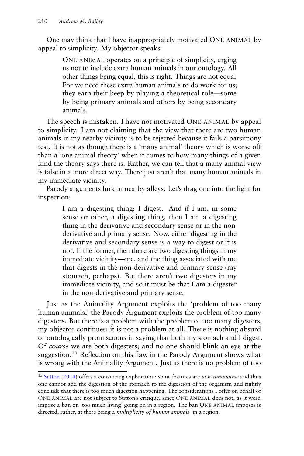One may think that I have inappropriately motivated ONE ANIMAL by appeal to simplicity. My objector speaks:

> ONE ANIMAL operates on a principle of simplicity, urging us not to include extra human animals in our ontology. All other things being equal, this is right. Things are not equal. For we need these extra human animals to do work for us; they earn their keep by playing a theoretical role—some by being primary animals and others by being secondary animals.

The speech is mistaken. I have not motivated ONE ANIMAL by appeal to simplicity. I am not claiming that the view that there are two human animals in my nearby vicinity is to be rejected because it fails a parsimony test. It is not as though there is a 'many animal' theory which is worse off than a 'one animal theory' when it comes to how many things of a given kind the theory says there is. Rather, we can tell that a many animal view is false in a more direct way. There just aren't that many human animals in my immediate vicinity.

Parody arguments lurk in nearby alleys. Let's drag one into the light for inspection:

> I am a digesting thing; I digest. And if I am, in some sense or other, a digesting thing, then I am a digesting thing in the derivative and secondary sense or in the nonderivative and primary sense. Now, either digesting in the derivative and secondary sense is a way to digest or it is not. If the former, then there are two digesting things in my immediate vicinity—me, and the thing associated with me that digests in the non-derivative and primary sense (my stomach, perhaps). But there aren't two digesters in my immediate vicinity, and so it must be that I am a digester in the non-derivative and primary sense.

Just as the Animality Argument exploits the 'problem of too many human animals,' the Parody Argument exploits the problem of too many digesters. But there is a problem with the problem of too many digesters, my objector continues: it is not a problem at all. There is nothing absurd or ontologically promiscuous in saying that both my stomach and I digest. Of *course* we are both digesters; and no one should blink an eye at the suggestion.<sup>15</sup> Reflection on this flaw in the Parody Argument shows what is wrong with the Animality Argument. Just as there is no problem of too

<sup>15</sup> [Sutton](#page-13-7) [\(2014\)](#page-13-7) offers a convincing explanation: some features are *non-summative* and thus one cannot add the digestion of the stomach to the digestion of the organism and rightly conclude that there is too much digestion happening. The considerations I offer on behalf of ONE ANIMAL are not subject to Sutton's critique, since ONE ANIMAL does not, as it were, impose a ban on 'too much living' going on in a region. The ban ONE ANIMAL imposes is directed, rather, at there being a *multiplicity of human animals* in a region.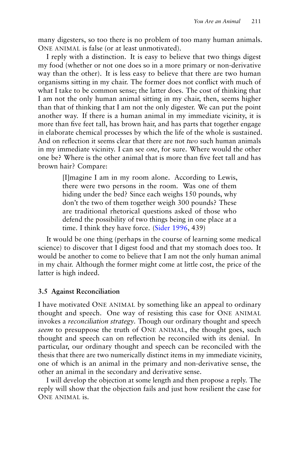many digesters, so too there is no problem of too many human animals. ONE ANIMAL is false (or at least unmotivated).

I reply with a distinction. It is easy to believe that two things digest my food (whether or not one does so in a more primary or non-derivative way than the other). It is less easy to believe that there are two human organisms sitting in my chair. The former does not conflict with much of what I take to be common sense; the latter does. The cost of thinking that I am not the only human animal sitting in my chair, then, seems higher than that of thinking that I am not the only digester. We can put the point another way. If there is a human animal in my immediate vicinity, it is more than five feet tall, has brown hair, and has parts that together engage in elaborate chemical processes by which the life of the whole is sustained. And on reflection it seems clear that there are not *two* such human animals in my immediate vicinity. I can see *one*, for sure. Where would the other one be? Where is the other animal that is more than five feet tall and has brown hair? Compare:

> [I]magine I am in my room alone. According to Lewis, there were two persons in the room. Was one of them hiding under the bed? Since each weighs 150 pounds, why don't the two of them together weigh 300 pounds? These are traditional rhetorical questions asked of those who defend the possibility of two things being in one place at a time. I think they have force. [\(Sider](#page-13-8) [1996,](#page-13-8) 439)

It would be one thing (perhaps in the course of learning some medical science) to discover that I digest food and that my stomach does too. It would be another to come to believe that I am not the only human animal in my chair. Although the former might come at little cost, the price of the latter is high indeed.

#### **3.5 Against Reconciliation**

I have motivated ONE ANIMAL by something like an appeal to ordinary thought and speech. One way of resisting this case for ONE ANIMAL invokes a *reconciliation strategy*. Though our ordinary thought and speech *seem* to presuppose the truth of ONE ANIMAL, the thought goes, such thought and speech can on reflection be reconciled with its denial. In particular, our ordinary thought and speech can be reconciled with the thesis that there are two numerically distinct items in my immediate vicinity, one of which is an animal in the primary and non-derivative sense, the other an animal in the secondary and derivative sense.

I will develop the objection at some length and then propose a reply. The reply will show that the objection fails and just how resilient the case for ONE ANIMAL is.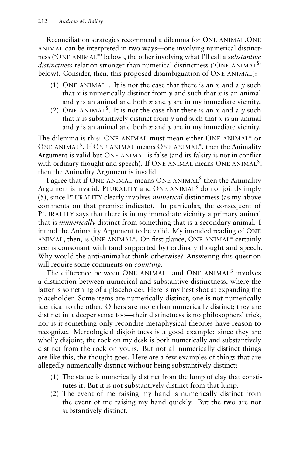Reconciliation strategies recommend a dilemma for ONE ANIMAL.ONE ANIMAL can be interpreted in two ways—one involving numerical distinctness ('ONE ANIMAL<sup>=</sup> ' below), the other involving what I'll call a *substantive* distinctness relation stronger than numerical distinctness ('ONE ANIMAL<sup>S</sup>' below). Consider, then, this proposed disambiguation of ONE ANIMAL):

- (1) ONE ANIMAL<sup> $=$ </sup>. It is not the case that there is an  $x$  and a  $y$  such that *x* is numerically distinct from  $\nu$  and such that *x* is an animal and  $\gamma$  is an animal and both  $x$  and  $\gamma$  are in my immediate vicinity.
- (2) ONE ANIMAL<sup>S</sup>. It is not the case that there is an  $x$  and a  $y$  such that  $x$  is substantively distinct from  $y$  and such that  $x$  is an animal and  $\gamma$  is an animal and both  $x$  and  $\gamma$  are in my immediate vicinity.

The dilemma is this: ONE ANIMAL must mean either ONE ANIMAL<sup>=</sup> or ONE ANIMAL<sup>S</sup>. If ONE ANIMAL means ONE ANIMAL<sup> $=$ </sup>, then the Animality Argument is valid but ONE ANIMAL is false (and its falsity is not in conflict with ordinary thought and speech). If ONE ANIMAL means ONE ANIMAL<sup>S</sup>, then the Animality Argument is invalid.

I agree that if ONE ANIMAL means ONE ANIMAL<sup>S</sup> then the Animality Argument is invalid. PLURALITY and ONE ANIMAL<sup>S</sup> do not jointly imply (5), since PLURALITY clearly involves *numerical* distinctness (as my above comments on that premise indicate). In particular, the consequent of PLURALITY says that there is in my immediate vicinity a primary animal that is *numerically* distinct from something that is a secondary animal. I intend the Animality Argument to be valid. My intended reading of ONE ANIMAL, then, is ONE ANIMAL<sup>=</sup>. On first glance, ONE ANIMAL<sup>=</sup> certainly seems consonant with (and supported by) ordinary thought and speech. Why would the anti-animalist think otherwise? Answering this question will require some comments on *counting*.

The difference between ONE ANIMAL<sup>=</sup> and ONE ANIMAL<sup>S</sup> involves a distinction between numerical and substantive distinctness, where the latter is something of a placeholder. Here is my best shot at expanding the placeholder. Some items are numerically distinct; one is not numerically identical to the other. Others are more than numerically distinct; they are distinct in a deeper sense too—their distinctness is no philosophers' trick, nor is it something only recondite metaphysical theories have reason to recognize. Mereological disjointness is a good example: since they are wholly disjoint, the rock on my desk is both numerically and substantively distinct from the rock on yours. But not all numerically distinct things are like this, the thought goes. Here are a few examples of things that are allegedly numerically distinct without being substantively distinct:

- (1) The statue is numerically distinct from the lump of clay that constitutes it. But it is not substantively distinct from that lump.
- (2) The event of me raising my hand is numerically distinct from the event of me raising my hand quickly. But the two are not substantively distinct.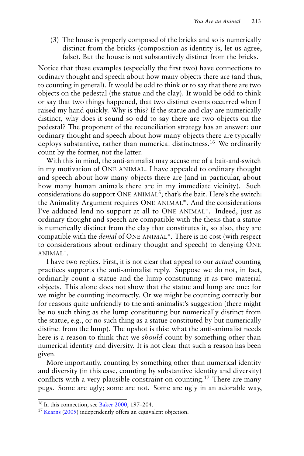(3) The house is properly composed of the bricks and so is numerically distinct from the bricks (composition as identity is, let us agree, false). But the house is not substantively distinct from the bricks.

Notice that these examples (especially the first two) have connections to ordinary thought and speech about how many objects there are (and thus, to counting in general). It would be odd to think or to say that there are two objects on the pedestal (the statue and the clay). It would be odd to think or say that two things happened, that two distinct events occurred when I raised my hand quickly. Why is this? If the statue and clay are numerically distinct, why does it sound so odd to say there are two objects on the pedestal? The proponent of the reconciliation strategy has an answer: our ordinary thought and speech about how many objects there are typically deploys substantive, rather than numerical distinctness.<sup>16</sup> We ordinarily count by the former, not the latter.

With this in mind, the anti-animalist may accuse me of a bait-and-switch in my motivation of ONE ANIMAL. I have appealed to ordinary thought and speech about how many objects there are (and in particular, about how many human animals there are in my immediate vicinity). Such considerations do support ONE ANIMAL<sup>S</sup>; that's the bait. Here's the switch: the Animality Argument requires ONE ANIMAL<sup>=</sup>. And the considerations I've adduced lend no support at all to ONE ANIMAL<sup>=</sup>. Indeed, just as ordinary thought and speech are compatible with the thesis that a statue is numerically distinct from the clay that constitutes it, so also, they are compatible with the *denial* of ONE ANIMAL<sup>=</sup>. There is no cost (with respect to considerations about ordinary thought and speech) to denying ONE  $ANIMAL^=$ .

I have two replies. First, it is not clear that appeal to our *actual* counting practices supports the anti-animalist reply. Suppose we do not, in fact, ordinarily count a statue and the lump constituting it as two material objects. This alone does not show that the statue and lump are one; for we might be counting incorrectly. Or we might be counting correctly but for reasons quite unfriendly to the anti-animalist's suggestion (there might be no such thing as the lump constituting but numerically distinct from the statue, e.g., or no such thing as a statue constituted by but numerically distinct from the lump). The upshot is this: what the anti-animalist needs here is a reason to think that we *should* count by something other than numerical identity and diversity. It is not clear that such a reason has been given.

More importantly, counting by something other than numerical identity and diversity (in this case, counting by substantive identity and diversity) conflicts with a very plausible constraint on counting.<sup>17</sup> There are many pugs. Some are ugly; some are not. Some are ugly in an adorable way,

<sup>&</sup>lt;sup>16</sup> In this connection, see [Baker](#page-11-1) [2000,](#page-11-1) 197-204.

<sup>&</sup>lt;sup>17</sup> [Kearns](#page-12-20) [\(2009\)](#page-12-20) independently offers an equivalent objection.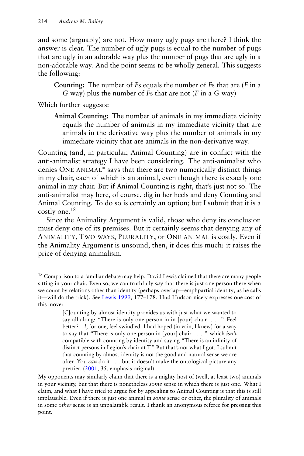and some (arguably) are not. How many ugly pugs are there? I think the answer is clear. The number of ugly pugs is equal to the number of pugs that are ugly in an adorable way plus the number of pugs that are ugly in a non-adorable way. And the point seems to be wholly general. This suggests the following:

**Counting:** The number of *F*s equals the number of *F*s that are (*F* in a *G* way) plus the number of *F*s that are not (*F* in a *G* way)

Which further suggests:

**Animal Counting:** The number of animals in my immediate vicinity equals the number of animals in my immediate vicinity that are animals in the derivative way plus the number of animals in my immediate vicinity that are animals in the non-derivative way.

Counting (and, in particular, Animal Counting) are in conflict with the anti-animalist strategy I have been considering. The anti-animalist who denies ONE ANIMAL<sup>=</sup> says that there are two numerically distinct things in my chair, each of which is an animal, even though there is exactly one animal in my chair. But if Animal Counting is right, that's just not so. The anti-animalist may here, of course, dig in her heels and deny Counting and Animal Counting. To do so is certainly an option; but I submit that it is a costly one.<sup>18</sup>

Since the Animality Argument is valid, those who deny its conclusion must deny one of its premises. But it certainly seems that denying any of ANIMALITY, TWO WAYS, PLURALITY, or ONE ANIMAL is costly. Even if the Animality Argument is unsound, then, it does this much: it raises the price of denying animalism.

<sup>&</sup>lt;sup>18</sup> Comparison to a familiar debate may help. David Lewis claimed that there are many people sitting in your chair. Even so, we can truthfully *say* that there is just one person there when we count by relations other than identity (perhaps overlap—emphpartial identity, as he calls it—will do the trick). See [Lewis](#page-12-21) [1999,](#page-12-21) 177–178. Hud Hudson nicely expresses one cost of this move:

<sup>[</sup>C]ounting by almost-identity provides us with just what we wanted to say all along: "There is only one person in in [your] chair. . . ." Feel better?—*I*, for one, feel swindled. I had hoped (in vain, I knew) for a way to say that "There is only one person in [your] chair . . . " which *isn't* compatible with counting by identity and saying "There is an infinity of distinct persons in Legion's chair at T." But that's not what I got. I submit that counting by almost-identity is not the good and natural sense we are after. You *can* do it . . . but it doesn't make the ontological picture any prettier. [\(2001,](#page-12-8) 35, emphasis original)

My opponents may similarly claim that there is a mighty host of (well, at least two) animals in your vicinity, but that there is nonetheless *some* sense in which there is just one. What I claim, and what I have tried to argue for by appealing to Animal Counting is that this is still implausible. Even if there is just one animal in *some* sense or other, the plurality of animals in some *other* sense is an unpalatable result. I thank an anonymous referee for pressing this point.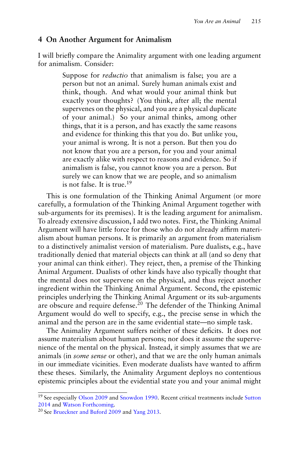### **4 On Another Argument for Animalism**

I will briefly compare the Animality argument with one leading argument for animalism. Consider:

> Suppose for *reductio* that animalism is false; you are a person but not an animal. Surely human animals exist and think, though. And what would your animal think but exactly your thoughts? (You think, after all; the mental supervenes on the physical, and you are a physical duplicate of your animal.) So your animal thinks, among other things, that it is a person, and has exactly the same reasons and evidence for thinking this that you do. But unlike you, your animal is wrong. It is not a person. But then you do not know that you are a person, for you and your animal are exactly alike with respect to reasons and evidence. So if animalism is false, you cannot know you are a person. But surely we can know that we are people, and so animalism is not false. It is true.<sup>19</sup>

This is one formulation of the Thinking Animal Argument (or more carefully, a formulation of the Thinking Animal Argument together with sub-arguments for its premises). It is the leading argument for animalism. To already extensive discussion, I add two notes. First, the Thinking Animal Argument will have little force for those who do not already affirm materialism about human persons. It is primarily an argument from materialism to a distinctively animalist version of materialism. Pure dualists, e.g., have traditionally denied that material objects can think at all (and so deny that your animal can think either). They reject, then, a premise of the Thinking Animal Argument. Dualists of other kinds have also typically thought that the mental does not supervene on the physical, and thus reject another ingredient within the Thinking Animal Argument. Second, the epistemic principles underlying the Thinking Animal Argument or its sub-arguments are obscure and require defense.<sup>20</sup> The defender of the Thinking Animal Argument would do well to specify, e.g., the precise sense in which the animal and the person are in the same evidential state—no simple task.

The Animality Argument suffers neither of these deficits. It does not assume materialism about human persons; nor does it assume the supervenience of the mental on the physical. Instead, it simply assumes that we are animals (in *some sense* or other), and that we are the only human animals in our immediate vicinities. Even moderate dualists have wanted to affirm these theses. Similarly, the Animality Argument deploys no contentious epistemic principles about the evidential state you and your animal might

<sup>&</sup>lt;sup>19</sup> See especially [Olson](#page-12-22) [2009](#page-12-22) and [Snowdon](#page-13-9) [1990.](#page-13-9) Recent critical treatments include [Sutton](#page-13-7) [2014](#page-13-7) and [Watson](#page-13-10) [Forthcoming.](#page-13-10)

<sup>20</sup> See [Brueckner and Buford](#page-11-12) [2009](#page-11-12) and [Yang](#page-13-11) [2013.](#page-13-11)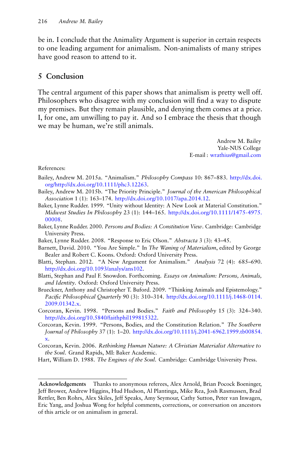be in. I conclude that the Animality Argument is superior in certain respects to one leading argument for animalism. Non-animalists of many stripes have good reason to attend to it.

# **5 Conclusion**

The central argument of this paper shows that animalism is pretty well off. Philosophers who disagree with my conclusion will find a way to dispute my premises. But they remain plausible, and denying them comes at a price. I, for one, am unwilling to pay it. And so I embrace the thesis that though we may be human, we're still animals.

> Andrew M. Bailey Yale-NUS College E-mail : [wrathius@gmail.com](mailto:wrathius@gmail.com)

References:

- <span id="page-11-3"></span>Bailey, Andrew M. 2015a. "Animalism." *Philosophy Compass* 10: 867–883. [http://dx.doi.](http://dx.doi.org/http://dx.doi.org/10.1111/phc3.12263) [org/http://dx.doi.org/10.1111/phc3.12263.](http://dx.doi.org/http://dx.doi.org/10.1111/phc3.12263)
- <span id="page-11-10"></span>Bailey, Andrew M. 2015b. "The Priority Principle." *Journal of the American Philosophical Association* 1 (1): 163–174. [http://dx.doi.org/10.1017/apa.2014.12.](http://dx.doi.org/10.1017/apa.2014.12)
- <span id="page-11-0"></span>Baker, Lynne Rudder. 1999. "Unity without Identity: A New Look at Material Constitution." *Midwest Studies In Philosophy* 23 (1): 144–165. [http://dx.doi.org/10.1111/1475-4975.](http://dx.doi.org/10.1111/1475-4975.00008) [00008.](http://dx.doi.org/10.1111/1475-4975.00008)
- <span id="page-11-1"></span>Baker, Lynne Rudder. 2000. *Persons and Bodies: A Constitution View*. Cambridge: Cambridge University Press.
- <span id="page-11-2"></span>Baker, Lynne Rudder. 2008. "Response to Eric Olson." *Abstracta* 3 (3): 43–45.
- <span id="page-11-5"></span>Barnett, David. 2010. "You Are Simple." In *The Waning of Materialism*, edited by George Bealer and Robert C. Koons. Oxford: Oxford University Press.
- <span id="page-11-11"></span>Blatti, Stephan. 2012. "A New Argument for Animalism." *Analysis* 72 (4): 685–690. [http://dx.doi.org/10.1093/analys/ans102.](http://dx.doi.org/10.1093/analys/ans102)
- <span id="page-11-4"></span>Blatti, Stephan and Paul F. Snowdon. Forthcoming. *Essays on Animalism: Persons, Animals, and Identity*. Oxford: Oxford University Press.
- <span id="page-11-12"></span>Brueckner, Anthony and Christopher T. Buford. 2009. "Thinking Animals and Epistemology." *Pacific Philosophical Quarterly* 90 (3): 310–314. [http://dx.doi.org/10.1111/j.1468-0114.](http://dx.doi.org/10.1111/j.1468-0114.2009.01342.x) [2009.01342.x.](http://dx.doi.org/10.1111/j.1468-0114.2009.01342.x)
- <span id="page-11-7"></span>Corcoran, Kevin. 1998. "Persons and Bodies." *Faith and Philosophy* 15 (3): 324–340. [http://dx.doi.org/10.5840/faithphil199815322.](http://dx.doi.org/10.5840/faithphil199815322)
- <span id="page-11-8"></span>Corcoran, Kevin. 1999. "Persons, Bodies, and the Constitution Relation." *The Southern Journal of Philosophy* 37 (1): 1–20. [http://dx.doi.org/10.1111/j.2041-6962.1999.tb00854.](http://dx.doi.org/10.1111/j.2041-6962.1999.tb00854.x) [x.](http://dx.doi.org/10.1111/j.2041-6962.1999.tb00854.x)
- <span id="page-11-9"></span>Corcoran, Kevin. 2006. *Rethinking Human Nature: A Christian Materialist Alternative to the Soul*. Grand Rapids, MI: Baker Academic.
- <span id="page-11-6"></span>Hart, William D. 1988. *The Engines of the Soul*. Cambridge: Cambridge University Press.

**Acknowledgements** Thanks to anonymous referees, Alex Arnold, Brian Pocock Boeninger, Jeff Brower, Andrew Higgins, Hud Hudson, Al Plantinga, Mike Rea, Josh Rasmussen, Brad Rettler, Ben Rohrs, Alex Skiles, Jeff Speaks, Amy Seymour, Cathy Sutton, Peter van Inwagen, Eric Yang, and Joshua Wong for helpful comments, corrections, or conversation on ancestors of this article or on animalism in general.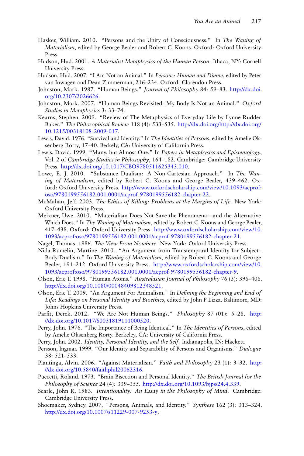- <span id="page-12-0"></span>Hasker, William. 2010. "Persons and the Unity of Consciousness." In *The Waning of Materialism*, edited by George Bealer and Robert C. Koons. Oxford: Oxford University Press.
- <span id="page-12-8"></span>Hudson, Hud. 2001. *A Materialist Metaphysics of the Human Person*. Ithaca, NY: Cornell University Press.
- <span id="page-12-9"></span>Hudson, Hud. 2007. "I Am Not an Animal." In *Persons: Human and Divine*, edited by Peter van Inwagen and Dean Zimmerman, 216–234. Oxford: Clarendon Press.
- <span id="page-12-5"></span>Johnston, Mark. 1987. "Human Beings." *Journal of Philosophy* 84: 59–83. [http://dx.doi.](http://dx.doi.org/10.2307/2026626) [org/10.2307/2026626.](http://dx.doi.org/10.2307/2026626)
- <span id="page-12-6"></span>Johnston, Mark. 2007. "Human Beings Revisited: My Body Is Not an Animal." *Oxford Studies in Metaphysics* 3: 33–74.
- <span id="page-12-20"></span>Kearns, Stephen. 2009. "Review of The Metaphysics of Everyday Life by Lynne Rudder Baker." *The Philosophical Review* 118 (4): 533–535. [http://dx.doi.org/http://dx.doi.org/](http://dx.doi.org/http://dx.doi.org/10.1215/00318108-2009-017) [10.1215/00318108-2009-017.](http://dx.doi.org/http://dx.doi.org/10.1215/00318108-2009-017)
- <span id="page-12-17"></span>Lewis, David. 1976. "Survival and Identity." In *The Identities of Persons*, edited by Amelie Oksenberg Rorty, 17–40. Berkely, CA: University of California Press.
- <span id="page-12-21"></span>Lewis, David. 1999. "Many, but Almost One." In *Papers in Metaphysics and Epistemology*, Vol. 2 of *Cambridge Studies in Philosophy*, 164–182. Cambridge: Cambridge University Press. [http://dx.doi.org/10.1017/CBO9780511625343.010.](http://dx.doi.org/10.1017/CBO9780511625343.010)
- <span id="page-12-4"></span>Lowe, E. J. 2010. "Substance Dualism: A Non-Cartesian Approach." In *The Waning of Materialism*, edited by Robert C. Koons and George Bealer, 439–462. Oxford: Oxford University Press. [http://www.oxfordscholarship.com/view/10.1093/acprof:](http://www.oxfordscholarship.com/view/10.1093/acprof:oso/9780199556182.001.0001/acprof-9780199556182-chapter-22) [oso/9780199556182.001.0001/acprof-9780199556182-chapter-22.](http://www.oxfordscholarship.com/view/10.1093/acprof:oso/9780199556182.001.0001/acprof-9780199556182-chapter-22)
- <span id="page-12-11"></span>McMahan, Jeff. 2003. *The Ethics of Killing: Problems at the Margins of Life*. New York: Oxford University Press.
- <span id="page-12-1"></span>Meixner, Uwe. 2010. "Materialism Does Not Save the Phenomena—and the Alternative Which Does." In *The Waning of Materialism*, edited by Robert C. Koons and George Bealer, 417–438. Oxford: Oxford University Press. [http://www.oxfordscholarship.com/view/10.](http://www.oxfordscholarship.com/view/10.1093/acprof:oso/9780199556182.001.0001/acprof-9780199556182-chapter-21) [1093/acprof:oso/9780199556182.001.0001/acprof-9780199556182-chapter-21.](http://www.oxfordscholarship.com/view/10.1093/acprof:oso/9780199556182.001.0001/acprof-9780199556182-chapter-21)
- <span id="page-12-14"></span>Nagel, Thomas. 1986. *The View From Nowhere*. New York: Oxford University Press.
- <span id="page-12-2"></span>Nida-Rümelin, Martine. 2010. "An Argument from Transtemporal Identity for Subject– Body Dualism." In *The Waning of Materialism*, edited by Robert C. Koons and George Bealer, 191–212. Oxford University Press. [http://www.oxfordscholarship.com/view/10.](http://www.oxfordscholarship.com/view/10.1093/acprof:oso/9780199556182.001.0001/acprof-9780199556182-chapter-9) [1093/acprof:oso/9780199556182.001.0001/acprof-9780199556182-chapter-9.](http://www.oxfordscholarship.com/view/10.1093/acprof:oso/9780199556182.001.0001/acprof-9780199556182-chapter-9)
- <span id="page-12-10"></span>Olson, Eric T. 1998. "Human Atoms." *Australasian Journal of Philosophy* 76 (3): 396–406. [http://dx.doi.org/10.1080/00048409812348521.](http://dx.doi.org/10.1080/00048409812348521)
- <span id="page-12-22"></span>Olson, Eric T. 2009. "An Argument For Animalism." In *Defining the Beginning and End of Life: Readings on Personal Identity and Bioethics*, edited by John P Lizza. Baltimore, MD: Johns Hopkins University Press.
- <span id="page-12-12"></span>Parfit, Derek. 2012. "We Are Not Human Beings." *Philosophy* 87 (01): 5–28. [http:](http://dx.doi.org/10.1017/S0031819111000520) [//dx.doi.org/10.1017/S0031819111000520.](http://dx.doi.org/10.1017/S0031819111000520)
- <span id="page-12-18"></span>Perry, John. 1976. "The Importance of Being Identical." In *The Identities of Persons*, edited by Amelie Oksenberg Rorty. Berkeley, CA: University of California Press.
- <span id="page-12-19"></span>Perry, John. 2002. *Identity, Personal Identity, and the Self*. Indianapolis, IN: Hackett.
- <span id="page-12-15"></span>Persson, Ingmar. 1999. "Our Identity and Separability of Persons and Organisms." *Dialogue* 38: 521–533.
- <span id="page-12-3"></span>Plantinga, Alvin. 2006. "Against Materialism." *Faith and Philosophy* 23 (1): 3–32. [http:](http://dx.doi.org/10.5840/faithphil20062316) [//dx.doi.org/10.5840/faithphil20062316.](http://dx.doi.org/10.5840/faithphil20062316)
- <span id="page-12-16"></span>Puccetti, Roland. 1973. "Brain Bisection and Personal Identity." *The British Journal for the Philosophy of Science* 24 (4): 339–355. [http://dx.doi.org/10.1093/bjps/24.4.339.](http://dx.doi.org/10.1093/bjps/24.4.339)
- <span id="page-12-13"></span>Searle, John R. 1983. *Intentionality: An Essay in the Philosophy of Mind*. Cambridge: Cambridge University Press.
- <span id="page-12-7"></span>Shoemaker, Sydney. 2007. "Persons, Animals, and Identity." *Synthese* 162 (3): 313–324. [http://dx.doi.org/10.1007/s11229-007-9253-y.](http://dx.doi.org/10.1007/s11229-007-9253-y)